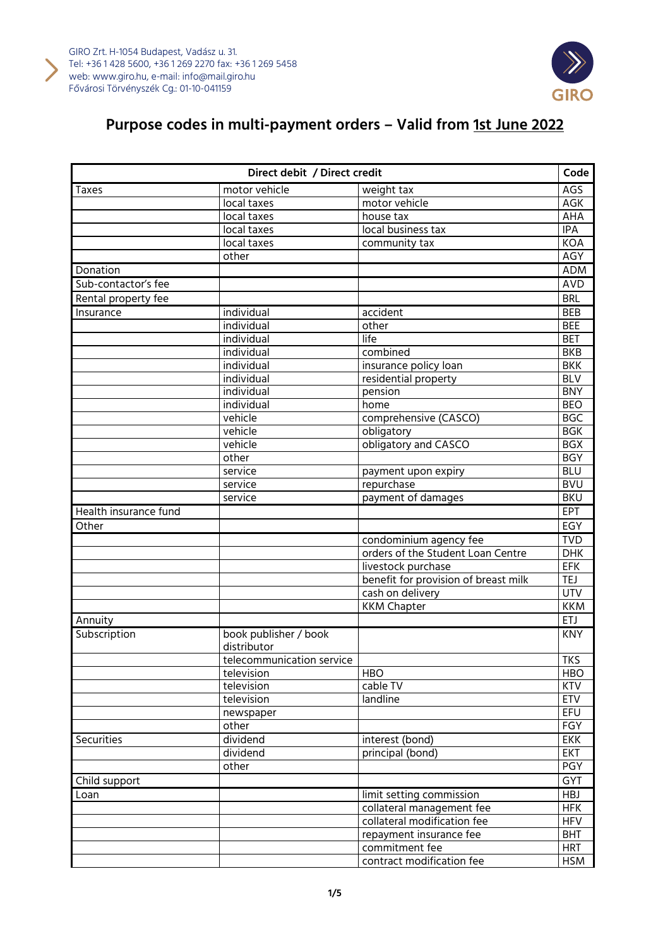



| Direct debit / Direct credit |                                      | Code                                 |            |
|------------------------------|--------------------------------------|--------------------------------------|------------|
| <b>Taxes</b>                 | motor vehicle                        | weight tax                           | AGS        |
|                              | local taxes                          | motor vehicle                        | AGK        |
|                              | local taxes                          | house tax                            | AHA        |
|                              | local taxes                          | local business tax                   | <b>IPA</b> |
|                              | local taxes                          | community tax                        | KOA        |
|                              | other                                |                                      | AGY        |
| Donation                     |                                      |                                      | <b>ADM</b> |
| Sub-contactor's fee          |                                      |                                      | <b>AVD</b> |
| Rental property fee          |                                      |                                      | <b>BRL</b> |
| Insurance                    | individual                           | accident                             | <b>BEB</b> |
|                              | individual                           | other                                | <b>BEE</b> |
|                              | individual                           | life                                 | <b>BET</b> |
|                              | individual                           | combined                             | <b>BKB</b> |
|                              | individual                           | insurance policy loan                | <b>BKK</b> |
|                              | individual                           | residential property                 | <b>BLV</b> |
|                              | individual                           | pension                              | <b>BNY</b> |
|                              | individual                           | home                                 | <b>BEO</b> |
|                              | vehicle                              | comprehensive (CASCO)                | <b>BGC</b> |
|                              | vehicle                              | obligatory                           | <b>BGK</b> |
|                              | vehicle                              | obligatory and CASCO                 | <b>BGX</b> |
|                              | other                                |                                      | <b>BGY</b> |
|                              | service                              | payment upon expiry                  | <b>BLU</b> |
|                              | service                              | repurchase                           | <b>BVU</b> |
|                              | service                              | payment of damages                   | <b>BKU</b> |
| Health insurance fund        |                                      |                                      | EPT        |
| Other                        |                                      |                                      | EGY        |
|                              |                                      | condominium agency fee               | <b>TVD</b> |
|                              |                                      | orders of the Student Loan Centre    | <b>DHK</b> |
|                              |                                      | livestock purchase                   | <b>EFK</b> |
|                              |                                      | benefit for provision of breast milk | <b>TEJ</b> |
|                              |                                      | cash on delivery                     | <b>UTV</b> |
|                              |                                      | <b>KKM Chapter</b>                   | <b>KKM</b> |
| Annuity                      |                                      |                                      | <b>ETJ</b> |
| Subscription                 | book publisher / book<br>distributor |                                      | <b>KNY</b> |
|                              | telecommunication service            |                                      | <b>TKS</b> |
|                              | television                           | <b>HBO</b>                           | <b>HBO</b> |
|                              | television                           | cable TV                             | <b>KTV</b> |
|                              | television                           | landline                             | <b>ETV</b> |
|                              | newspaper                            |                                      | EFU        |
|                              | other                                |                                      | FGY        |
| Securities                   | dividend                             | interest (bond)                      | <b>EKK</b> |
|                              | dividend                             | principal (bond)                     | <b>EKT</b> |
|                              | other                                |                                      | PGY        |
| Child support                |                                      |                                      | <b>GYT</b> |
| Loan                         |                                      | limit setting commission             | <b>HBJ</b> |
|                              |                                      | collateral management fee            | <b>HFK</b> |
|                              |                                      | collateral modification fee          | <b>HFV</b> |
|                              |                                      | repayment insurance fee              | <b>BHT</b> |
|                              |                                      | commitment fee                       | <b>HRT</b> |
|                              |                                      | contract modification fee            | <b>HSM</b> |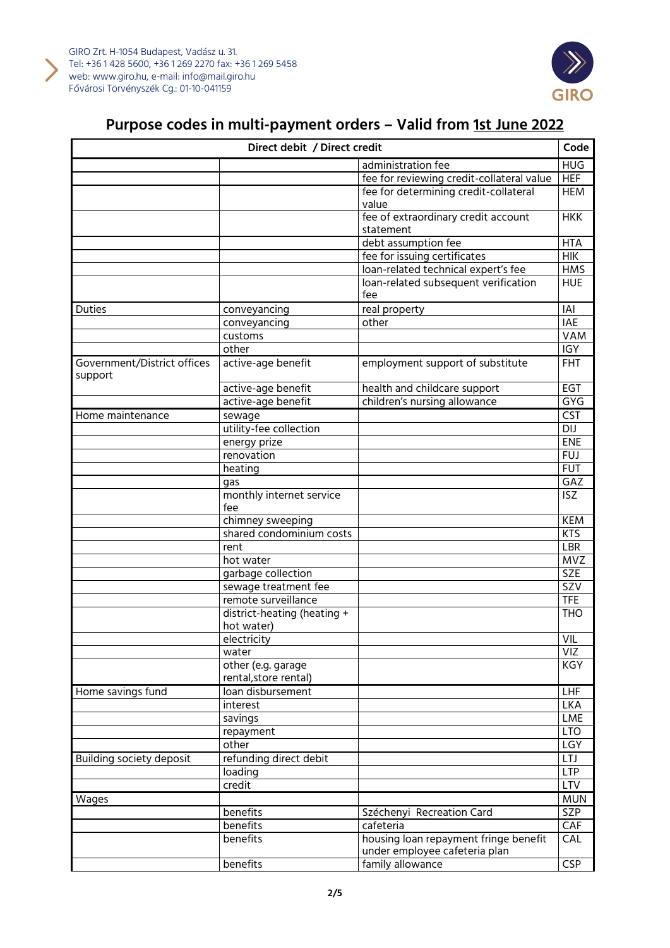



| Direct debit / Direct credit           |                                             | Code                                      |                  |
|----------------------------------------|---------------------------------------------|-------------------------------------------|------------------|
|                                        |                                             | administration fee                        | <b>HUG</b>       |
|                                        |                                             | fee for reviewing credit-collateral value | <b>HEF</b>       |
|                                        |                                             | fee for determining credit-collateral     | <b>HEM</b>       |
|                                        |                                             | value                                     |                  |
|                                        |                                             | fee of extraordinary credit account       | <b>HKK</b>       |
|                                        |                                             | statement                                 |                  |
|                                        |                                             | debt assumption fee                       | <b>HTA</b>       |
|                                        |                                             | fee for issuing certificates              | $H$ IK           |
|                                        |                                             | loan-related technical expert's fee       | <b>HMS</b>       |
|                                        |                                             | loan-related subsequent verification      | <b>HUE</b>       |
|                                        |                                             | fee                                       |                  |
| <b>Duties</b>                          | conveyancing                                | real property                             | <b>IAI</b>       |
|                                        | conveyancing                                | other                                     | <b>IAE</b>       |
|                                        | customs                                     |                                           | <b>VAM</b>       |
|                                        | other                                       |                                           | <b>IGY</b>       |
| Government/District offices<br>support | active-age benefit                          | employment support of substitute          | <b>FHT</b>       |
|                                        | active-age benefit                          | health and childcare support              | EGT              |
|                                        | active-age benefit                          | children's nursing allowance              | GYG              |
| Home maintenance                       | sewage                                      |                                           | <b>CST</b>       |
|                                        | utility-fee collection                      |                                           | $\overline{D}$   |
|                                        | energy prize                                |                                           | ENE              |
|                                        | renovation                                  |                                           | <b>FUJ</b>       |
|                                        | heating                                     |                                           | <b>FUT</b>       |
|                                        | gas                                         |                                           | GAZ              |
|                                        | monthly internet service                    |                                           | <b>ISZ</b>       |
|                                        | fee                                         |                                           |                  |
|                                        | chimney sweeping                            |                                           | <b>KEM</b>       |
|                                        | shared condominium costs                    |                                           | <b>KTS</b>       |
|                                        | rent                                        |                                           | LBR              |
|                                        | hot water                                   |                                           | <b>MVZ</b>       |
|                                        | garbage collection                          |                                           | <b>SZE</b>       |
|                                        | sewage treatment fee                        |                                           | $\overline{SZV}$ |
|                                        | remote surveillance                         |                                           | <b>TFE</b>       |
|                                        | district-heating (heating +<br>hot water)   |                                           | TH <sub>O</sub>  |
|                                        | electricity                                 |                                           | VIL              |
|                                        | water                                       |                                           | VIZ              |
|                                        | other (e.g. garage<br>rental, store rental) |                                           | KGY              |
| Home savings fund                      | loan disbursement                           |                                           | LHF              |
|                                        | interest                                    |                                           | <b>LKA</b>       |
|                                        | savings                                     |                                           | LME              |
|                                        | repayment                                   |                                           | <b>LTO</b>       |
|                                        | other                                       |                                           | LGY              |
| Building society deposit               | refunding direct debit                      |                                           | <b>LTJ</b>       |
|                                        | loading                                     |                                           | <b>LTP</b>       |
|                                        | credit                                      |                                           | <b>LTV</b>       |
| Wages                                  |                                             |                                           | <b>MUN</b>       |
|                                        | benefits                                    | Széchenyi Recreation Card                 | <b>SZP</b>       |
|                                        | benefits                                    | cafeteria                                 | CAF              |
|                                        | benefits                                    | housing loan repayment fringe benefit     | CAL              |
|                                        |                                             | under employee cafeteria plan             |                  |
|                                        | benefits                                    | family allowance                          | CSP              |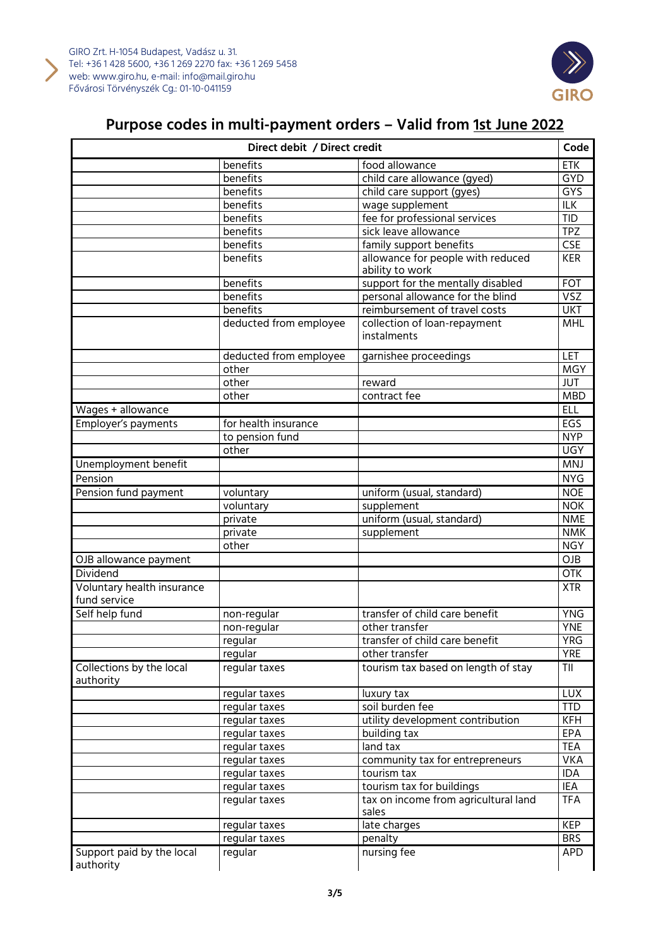



| Direct debit / Direct credit           |                            | Code                                          |            |
|----------------------------------------|----------------------------|-----------------------------------------------|------------|
|                                        | benefits<br>food allowance |                                               | ETK        |
|                                        | benefits                   | child care allowance (gyed)                   | <b>GYD</b> |
|                                        | benefits                   | child care support (gyes)                     | <b>GYS</b> |
|                                        | benefits                   | wage supplement                               | <b>ILK</b> |
|                                        | benefits                   | fee for professional services                 | <b>TID</b> |
|                                        | benefits                   | sick leave allowance                          | <b>TPZ</b> |
|                                        | benefits                   | family support benefits                       | CSE        |
|                                        | benefits                   | allowance for people with reduced             | <b>KER</b> |
|                                        |                            | ability to work                               |            |
|                                        | benefits                   | support for the mentally disabled             | <b>FOT</b> |
|                                        | benefits                   | personal allowance for the blind              | <b>VSZ</b> |
|                                        | benefits                   | reimbursement of travel costs                 | <b>UKT</b> |
|                                        | deducted from employee     | collection of loan-repayment<br>instalments   | <b>MHL</b> |
|                                        | deducted from employee     | garnishee proceedings                         | LET        |
|                                        | other                      |                                               | <b>MGY</b> |
|                                        | other                      | reward                                        | <b>JUT</b> |
|                                        | other                      | contract fee                                  | <b>MBD</b> |
| Wages + allowance                      |                            |                                               | <b>ELL</b> |
| Employer's payments                    | for health insurance       |                                               | EGS        |
|                                        | to pension fund            |                                               | <b>NYP</b> |
|                                        | other                      |                                               | <b>UGY</b> |
| Unemployment benefit                   |                            |                                               | <b>MNJ</b> |
| Pension                                |                            |                                               | <b>NYG</b> |
| Pension fund payment                   | voluntary                  | uniform (usual, standard)                     | <b>NOE</b> |
|                                        | voluntary                  | supplement                                    | <b>NOK</b> |
|                                        | private                    | uniform (usual, standard)                     | <b>NME</b> |
|                                        | private                    | supplement                                    | <b>NMK</b> |
|                                        | other                      |                                               | <b>NGY</b> |
| OJB allowance payment                  |                            |                                               | OJB        |
| <b>Dividend</b>                        |                            |                                               | <b>OTK</b> |
| Voluntary health insurance             |                            |                                               | <b>XTR</b> |
| fund service                           |                            |                                               |            |
| Self help fund                         | non-regular                | transfer of child care benefit                | <b>YNG</b> |
|                                        | non-regular                | other transfer                                | <b>YNE</b> |
|                                        | regular                    | transfer of child care benefit                | <b>YRG</b> |
|                                        | regular                    | other transfer                                | <b>YRE</b> |
| Collections by the local<br>authority  | regular taxes              | tourism tax based on length of stay           | TII        |
|                                        | regular taxes              | luxury tax                                    | <b>LUX</b> |
|                                        | regular taxes              | soil burden fee                               | <b>TTD</b> |
|                                        | regular taxes              | utility development contribution              | <b>KFH</b> |
|                                        | regular taxes              | building tax                                  | EPA        |
|                                        | regular taxes              | land tax                                      | <b>TEA</b> |
|                                        | regular taxes              | community tax for entrepreneurs               | <b>VKA</b> |
|                                        | regular taxes              | tourism tax                                   | IDA        |
|                                        | regular taxes              | tourism tax for buildings                     | IEA        |
|                                        | regular taxes              | tax on income from agricultural land<br>sales | <b>TFA</b> |
|                                        | regular taxes              | late charges                                  | <b>KEP</b> |
|                                        | regular taxes              | penalty                                       | <b>BRS</b> |
| Support paid by the local<br>authority | regular                    | nursing fee                                   | <b>APD</b> |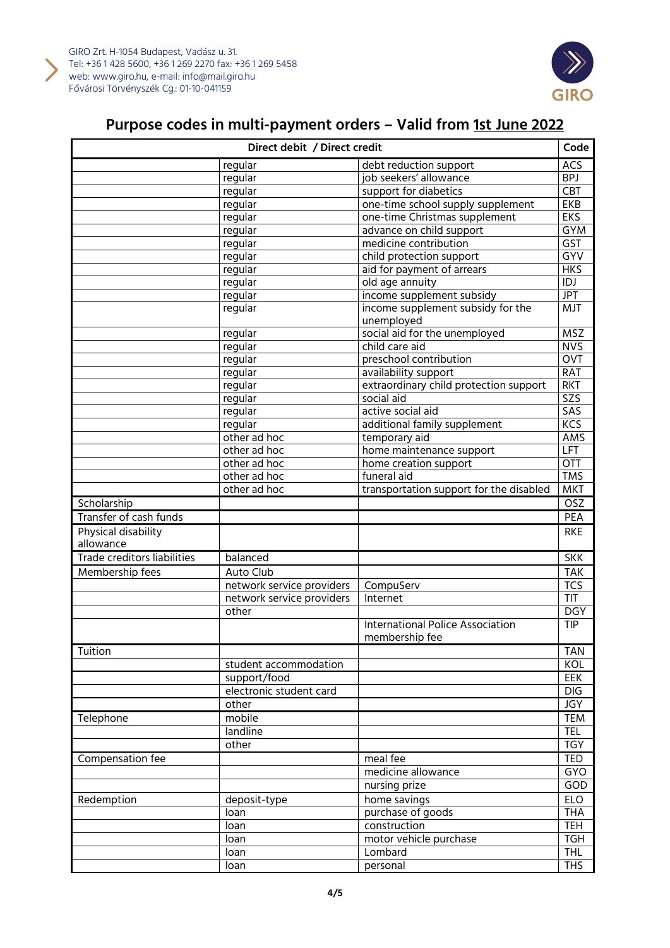



| Direct debit / Direct credit     |                           | Code                                                      |                         |
|----------------------------------|---------------------------|-----------------------------------------------------------|-------------------------|
|                                  | regular                   | debt reduction support                                    | <b>ACS</b>              |
|                                  | regular                   | job seekers' allowance                                    | <b>BPJ</b>              |
|                                  | regular                   | support for diabetics                                     | <b>CBT</b>              |
|                                  | regular                   | one-time school supply supplement                         | EKB                     |
|                                  | regular                   | one-time Christmas supplement                             | <b>EKS</b>              |
|                                  | regular                   | advance on child support                                  | <b>GYM</b>              |
|                                  | regular                   | medicine contribution                                     | GST                     |
|                                  | regular                   | child protection support                                  | GYV                     |
|                                  | regular                   | aid for payment of arrears                                | HKS                     |
|                                  | regular                   | old age annuity                                           | $\overline{1DJ}$        |
|                                  | regular                   | income supplement subsidy                                 | <b>JPT</b>              |
|                                  | regular                   | income supplement subsidy for the<br>unemployed           | <b>MJT</b>              |
|                                  | regular                   | social aid for the unemployed                             | <b>MSZ</b>              |
|                                  | regular                   | child care aid                                            | <b>NVS</b>              |
|                                  | regular                   | preschool contribution                                    | OVT                     |
|                                  | regular                   | availability support                                      | <b>RAT</b>              |
|                                  | regular                   | extraordinary child protection support                    | RKT                     |
|                                  | regular                   | social aid                                                | $\overline{\text{SZS}}$ |
|                                  | regular                   | active social aid                                         | <b>SAS</b>              |
|                                  | regular                   | additional family supplement                              | KCS                     |
|                                  | other ad hoc              | temporary aid                                             | AMS                     |
|                                  | other ad hoc              | home maintenance support                                  | <b>LFT</b>              |
|                                  | other ad hoc              | home creation support                                     | OTT                     |
|                                  | other ad hoc              | funeral aid                                               | <b>TMS</b>              |
|                                  | other ad hoc              | transportation support for the disabled                   | <b>MKT</b>              |
| Scholarship                      |                           |                                                           | OSZ                     |
| Transfer of cash funds           |                           |                                                           | PEA                     |
| Physical disability<br>allowance |                           |                                                           | <b>RKE</b>              |
| Trade creditors liabilities      | balanced                  |                                                           | <b>SKK</b>              |
| Membership fees                  | Auto Club                 |                                                           | <b>TAK</b>              |
|                                  | network service providers | CompuServ                                                 | <b>TCS</b>              |
|                                  | network service providers | Internet                                                  | <b>TIT</b>              |
|                                  | other                     |                                                           | <b>DGY</b>              |
|                                  |                           | <b>International Police Association</b><br>membership fee | <b>TIP</b>              |
| Tuition                          |                           |                                                           | <b>TAN</b>              |
|                                  | student accommodation     |                                                           | KOL                     |
|                                  | support/food              |                                                           | EEK                     |
|                                  | electronic student card   |                                                           | DIG                     |
|                                  | other                     |                                                           | <b>JGY</b>              |
| Telephone                        | mobile                    |                                                           | <b>TEM</b>              |
|                                  | landline                  |                                                           | <b>TEL</b>              |
|                                  | other                     |                                                           | <b>TGY</b>              |
| Compensation fee                 |                           | meal fee                                                  | <b>TED</b>              |
|                                  |                           | medicine allowance                                        | GYO                     |
|                                  |                           | nursing prize                                             | GOD                     |
|                                  |                           |                                                           |                         |
| Redemption                       | deposit-type              | home savings                                              | <b>ELO</b>              |
|                                  | loan                      | purchase of goods                                         | <b>THA</b>              |
|                                  | loan                      | construction                                              | <b>TEH</b>              |
|                                  | loan                      | motor vehicle purchase                                    | <b>TGH</b>              |
|                                  | loan                      | Lombard                                                   | <b>THL</b>              |
|                                  | loan                      | personal                                                  | <b>THS</b>              |